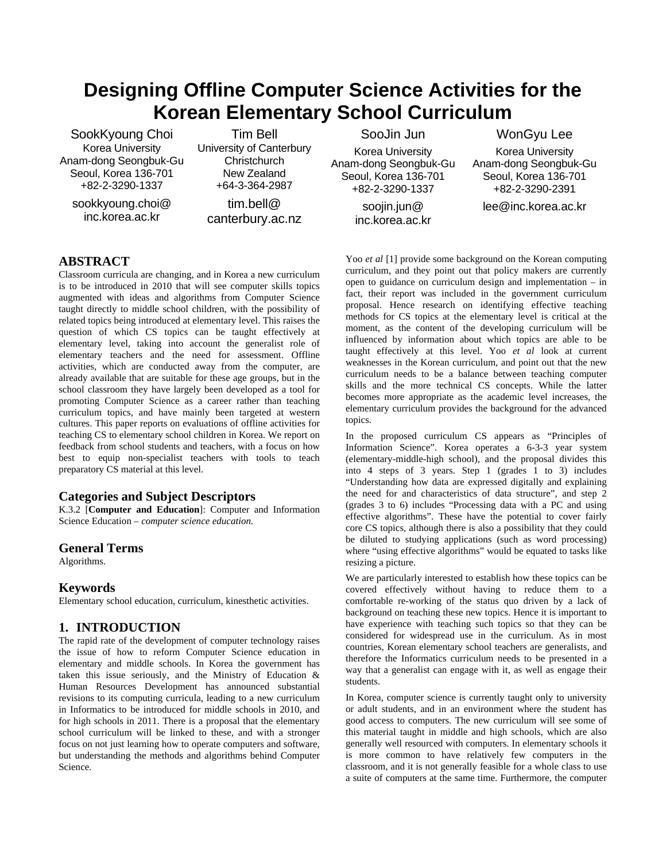# **Designing Offline Computer Science Activities for the Korean Elementary School Curriculum**

SookKyoung Choi Korea University Anam-dong Seongbuk-Gu Seoul, Korea 136-701 +82-2-3290-1337

sookkyoung.choi@ inc.korea.ac.kr

Tim Bell University of Canterbury **Christchurch** New Zealand +64-3-364-2987

tim.bell@ canterbury.ac.nz

SooJin Jun Korea University Anam-dong Seongbuk-Gu Seoul, Korea 136-701 +82-2-3290-1337 soojin.jun@

inc.korea.ac.kr

WonGyu Lee Korea University Anam-dong Seongbuk-Gu Seoul, Korea 136-701 +82-2-3290-2391 lee@inc.korea.ac.kr

**ABSTRACT**

Classroom curricula are changing, and in Korea a new curriculum is to be introduced in 2010 that will see computer skills topics augmented with ideas and algorithms from Computer Science taught directly to middle school children, with the possibility of related topics being introduced at elementary level. This raises the question of which CS topics can be taught effectively at elementary level, taking into account the generalist role of elementary teachers and the need for assessment. Offline activities, which are conducted away from the computer, are already available that are suitable for these age groups, but in the school classroom they have largely been developed as a tool for promoting Computer Science as a career rather than teaching curriculum topics, and have mainly been targeted at western cultures. This paper reports on evaluations of offline activities for teaching CS to elementary school children in Korea. We report on feedback from school students and teachers, with a focus on how best to equip non-specialist teachers with tools to teach preparatory CS material at this level.

### **Categories and Subject Descriptors**

K.3.2 [**Computer and Education**]: Computer and Information Science Education – *computer science education.* 

### **General Terms**

Algorithms.

### **Keywords**

Elementary school education, curriculum, kinesthetic activities.

### **1. INTRODUCTION**

The rapid rate of the development of computer technology raises the issue of how to reform Computer Science education in elementary and middle schools. In Korea the government has taken this issue seriously, and the Ministry of Education & Human Resources Development has announced substantial revisions to its computing curricula, leading to a new curriculum in Informatics to be introduced for middle schools in 2010, and for high schools in 2011. There is a proposal that the elementary school curriculum will be linked to these, and with a stronger focus on not just learning how to operate computers and software, but understanding the methods and algorithms behind Computer Science.

Yoo *et al* [1] provide some background on the Korean computing curriculum, and they point out that policy makers are currently open to guidance on curriculum design and implementation – in fact, their report was included in the government curriculum proposal. Hence research on identifying effective teaching methods for CS topics at the elementary level is critical at the moment, as the content of the developing curriculum will be influenced by information about which topics are able to be taught effectively at this level. Yoo *et al* look at current weaknesses in the Korean curriculum, and point out that the new curriculum needs to be a balance between teaching computer skills and the more technical CS concepts. While the latter becomes more appropriate as the academic level increases, the elementary curriculum provides the background for the advanced topics.

In the proposed curriculum CS appears as "Principles of Information Science". Korea operates a 6-3-3 year system (elementary-middle-high school), and the proposal divides this into 4 steps of 3 years. Step 1 (grades 1 to 3) includes "Understanding how data are expressed digitally and explaining the need for and characteristics of data structure", and step 2 (grades 3 to 6) includes "Processing data with a PC and using effective algorithms". These have the potential to cover fairly core CS topics, although there is also a possibility that they could be diluted to studying applications (such as word processing) where "using effective algorithms" would be equated to tasks like resizing a picture.

We are particularly interested to establish how these topics can be covered effectively without having to reduce them to a comfortable re-working of the status quo driven by a lack of background on teaching these new topics. Hence it is important to have experience with teaching such topics so that they can be considered for widespread use in the curriculum. As in most countries, Korean elementary school teachers are generalists, and therefore the Informatics curriculum needs to be presented in a way that a generalist can engage with it, as well as engage their students.

In Korea, computer science is currently taught only to university or adult students, and in an environment where the student has good access to computers. The new curriculum will see some of this material taught in middle and high schools, which are also generally well resourced with computers. In elementary schools it is more common to have relatively few computers in the classroom, and it is not generally feasible for a whole class to use a suite of computers at the same time. Furthermore, the computer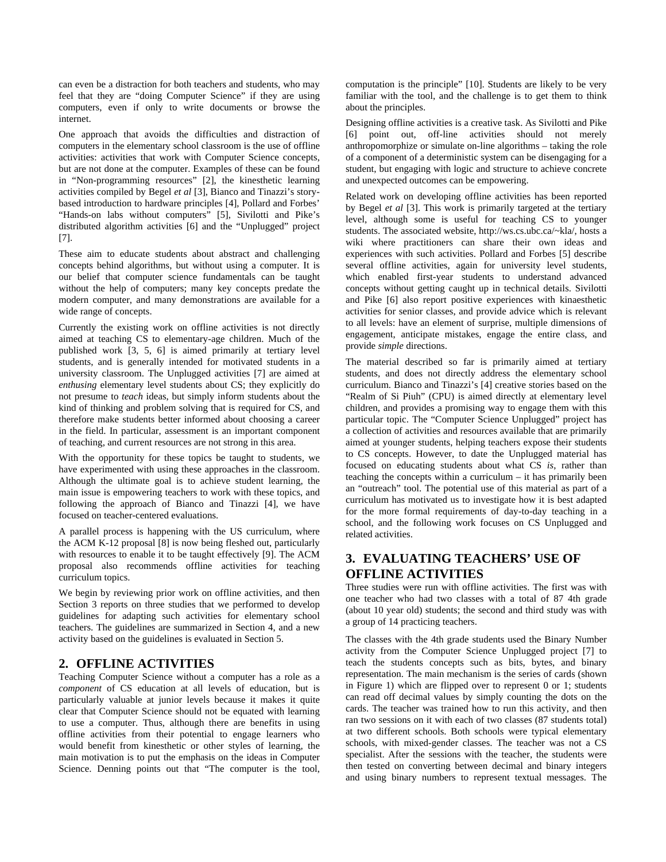can even be a distraction for both teachers and students, who may feel that they are "doing Computer Science" if they are using computers, even if only to write documents or browse the internet.

One approach that avoids the difficulties and distraction of computers in the elementary school classroom is the use of offline activities: activities that work with Computer Science concepts, but are not done at the computer. Examples of these can be found in "Non-programming resources" [2], the kinesthetic learning activities compiled by Begel *et al* [3], Bianco and Tinazzi's storybased introduction to hardware principles [4], Pollard and Forbes' "Hands-on labs without computers" [5], Sivilotti and Pike's distributed algorithm activities [6] and the "Unplugged" project [7].

These aim to educate students about abstract and challenging concepts behind algorithms, but without using a computer. It is our belief that computer science fundamentals can be taught without the help of computers; many key concepts predate the modern computer, and many demonstrations are available for a wide range of concepts.

Currently the existing work on offline activities is not directly aimed at teaching CS to elementary-age children. Much of the published work [3, 5, 6] is aimed primarily at tertiary level students, and is generally intended for motivated students in a university classroom. The Unplugged activities [7] are aimed at *enthusing* elementary level students about CS; they explicitly do not presume to *teach* ideas, but simply inform students about the kind of thinking and problem solving that is required for CS, and therefore make students better informed about choosing a career in the field. In particular, assessment is an important component of teaching, and current resources are not strong in this area.

With the opportunity for these topics be taught to students, we have experimented with using these approaches in the classroom. Although the ultimate goal is to achieve student learning, the main issue is empowering teachers to work with these topics, and following the approach of Bianco and Tinazzi [4], we have focused on teacher-centered evaluations.

A parallel process is happening with the US curriculum, where the ACM K-12 proposal [8] is now being fleshed out, particularly with resources to enable it to be taught effectively [9]. The ACM proposal also recommends offline activities for teaching curriculum topics.

We begin by reviewing prior work on offline activities, and then Section 3 reports on three studies that we performed to develop guidelines for adapting such activities for elementary school teachers. The guidelines are summarized in Section 4, and a new activity based on the guidelines is evaluated in Section 5.

## **2. OFFLINE ACTIVITIES**

Teaching Computer Science without a computer has a role as a *component* of CS education at all levels of education, but is particularly valuable at junior levels because it makes it quite clear that Computer Science should not be equated with learning to use a computer. Thus, although there are benefits in using offline activities from their potential to engage learners who would benefit from kinesthetic or other styles of learning, the main motivation is to put the emphasis on the ideas in Computer Science. Denning points out that "The computer is the tool, computation is the principle" [10]. Students are likely to be very familiar with the tool, and the challenge is to get them to think about the principles.

Designing offline activities is a creative task. As Sivilotti and Pike [6] point out, off-line activities should not merely anthropomorphize or simulate on-line algorithms – taking the role of a component of a deterministic system can be disengaging for a student, but engaging with logic and structure to achieve concrete and unexpected outcomes can be empowering.

Related work on developing offline activities has been reported by Begel *et al* [3]. This work is primarily targeted at the tertiary level, although some is useful for teaching CS to younger students. The associated website, http://ws.cs.ubc.ca/~kla/, hosts a wiki where practitioners can share their own ideas and experiences with such activities. Pollard and Forbes [5] describe several offline activities, again for university level students, which enabled first-year students to understand advanced concepts without getting caught up in technical details. Sivilotti and Pike [6] also report positive experiences with kinaesthetic activities for senior classes, and provide advice which is relevant to all levels: have an element of surprise, multiple dimensions of engagement, anticipate mistakes, engage the entire class, and provide *simple* directions.

The material described so far is primarily aimed at tertiary students, and does not directly address the elementary school curriculum. Bianco and Tinazzi's [4] creative stories based on the "Realm of Si Piuh" (CPU) is aimed directly at elementary level children, and provides a promising way to engage them with this particular topic. The "Computer Science Unplugged" project has a collection of activities and resources available that are primarily aimed at younger students, helping teachers expose their students to CS concepts. However, to date the Unplugged material has focused on educating students about what CS *is*, rather than teaching the concepts within a curriculum – it has primarily been an "outreach" tool. The potential use of this material as part of a curriculum has motivated us to investigate how it is best adapted for the more formal requirements of day-to-day teaching in a school, and the following work focuses on CS Unplugged and related activities.

# **3. EVALUATING TEACHERS' USE OF OFFLINE ACTIVITIES**

Three studies were run with offline activities. The first was with one teacher who had two classes with a total of 87 4th grade (about 10 year old) students; the second and third study was with a group of 14 practicing teachers.

The classes with the 4th grade students used the Binary Number activity from the Computer Science Unplugged project [7] to teach the students concepts such as bits, bytes, and binary representation. The main mechanism is the series of cards (shown in Figure 1) which are flipped over to represent 0 or 1; students can read off decimal values by simply counting the dots on the cards. The teacher was trained how to run this activity, and then ran two sessions on it with each of two classes (87 students total) at two different schools. Both schools were typical elementary schools, with mixed-gender classes. The teacher was not a CS specialist. After the sessions with the teacher, the students were then tested on converting between decimal and binary integers and using binary numbers to represent textual messages. The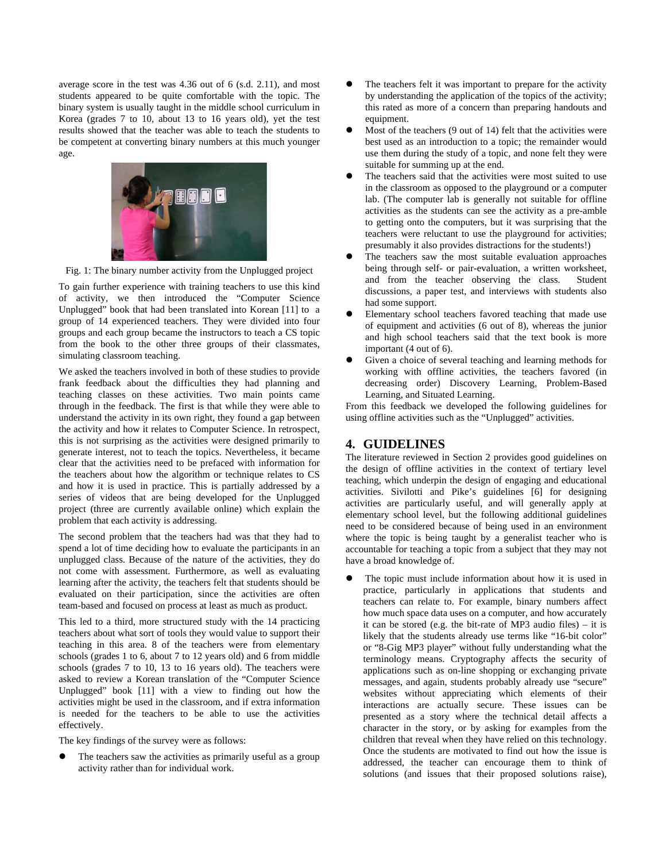average score in the test was 4.36 out of 6 (s.d. 2.11), and most students appeared to be quite comfortable with the topic. The binary system is usually taught in the middle school curriculum in Korea (grades 7 to 10, about 13 to 16 years old), yet the test results showed that the teacher was able to teach the students to be competent at converting binary numbers at this much younger age.



Fig. 1: The binary number activity from the Unplugged project

To gain further experience with training teachers to use this kind of activity, we then introduced the "Computer Science Unplugged" book that had been translated into Korean [11] to a group of 14 experienced teachers. They were divided into four groups and each group became the instructors to teach a CS topic from the book to the other three groups of their classmates, simulating classroom teaching.

We asked the teachers involved in both of these studies to provide frank feedback about the difficulties they had planning and teaching classes on these activities. Two main points came through in the feedback. The first is that while they were able to understand the activity in its own right, they found a gap between the activity and how it relates to Computer Science. In retrospect, this is not surprising as the activities were designed primarily to generate interest, not to teach the topics. Nevertheless, it became clear that the activities need to be prefaced with information for the teachers about how the algorithm or technique relates to CS and how it is used in practice. This is partially addressed by a series of videos that are being developed for the Unplugged project (three are currently available online) which explain the problem that each activity is addressing.

The second problem that the teachers had was that they had to spend a lot of time deciding how to evaluate the participants in an unplugged class. Because of the nature of the activities, they do not come with assessment. Furthermore, as well as evaluating learning after the activity, the teachers felt that students should be evaluated on their participation, since the activities are often team-based and focused on process at least as much as product.

This led to a third, more structured study with the 14 practicing teachers about what sort of tools they would value to support their teaching in this area. 8 of the teachers were from elementary schools (grades 1 to 6, about 7 to 12 years old) and 6 from middle schools (grades 7 to 10, 13 to 16 years old). The teachers were asked to review a Korean translation of the "Computer Science Unplugged" book [11] with a view to finding out how the activities might be used in the classroom, and if extra information is needed for the teachers to be able to use the activities effectively.

The key findings of the survey were as follows:

The teachers saw the activities as primarily useful as a group activity rather than for individual work.

- The teachers felt it was important to prepare for the activity by understanding the application of the topics of the activity; this rated as more of a concern than preparing handouts and equipment.
- Most of the teachers (9 out of 14) felt that the activities were best used as an introduction to a topic; the remainder would use them during the study of a topic, and none felt they were suitable for summing up at the end.
- The teachers said that the activities were most suited to use in the classroom as opposed to the playground or a computer lab. (The computer lab is generally not suitable for offline activities as the students can see the activity as a pre-amble to getting onto the computers, but it was surprising that the teachers were reluctant to use the playground for activities; presumably it also provides distractions for the students!)
- The teachers saw the most suitable evaluation approaches being through self- or pair-evaluation, a written worksheet, and from the teacher observing the class. Student discussions, a paper test, and interviews with students also had some support.
- Elementary school teachers favored teaching that made use of equipment and activities (6 out of 8), whereas the junior and high school teachers said that the text book is more important (4 out of 6).
- Given a choice of several teaching and learning methods for working with offline activities, the teachers favored (in decreasing order) Discovery Learning, Problem-Based Learning, and Situated Learning.

From this feedback we developed the following guidelines for using offline activities such as the "Unplugged" activities.

## **4. GUIDELINES**

The literature reviewed in Section 2 provides good guidelines on the design of offline activities in the context of tertiary level teaching, which underpin the design of engaging and educational activities. Sivilotti and Pike's guidelines [6] for designing activities are particularly useful, and will generally apply at elementary school level, but the following additional guidelines need to be considered because of being used in an environment where the topic is being taught by a generalist teacher who is accountable for teaching a topic from a subject that they may not have a broad knowledge of.

The topic must include information about how it is used in practice, particularly in applications that students and teachers can relate to. For example, binary numbers affect how much space data uses on a computer, and how accurately it can be stored (e.g. the bit-rate of MP3 audio files) – it is likely that the students already use terms like "16-bit color" or "8-Gig MP3 player" without fully understanding what the terminology means. Cryptography affects the security of applications such as on-line shopping or exchanging private messages, and again, students probably already use "secure" websites without appreciating which elements of their interactions are actually secure. These issues can be presented as a story where the technical detail affects a character in the story, or by asking for examples from the children that reveal when they have relied on this technology. Once the students are motivated to find out how the issue is addressed, the teacher can encourage them to think of solutions (and issues that their proposed solutions raise),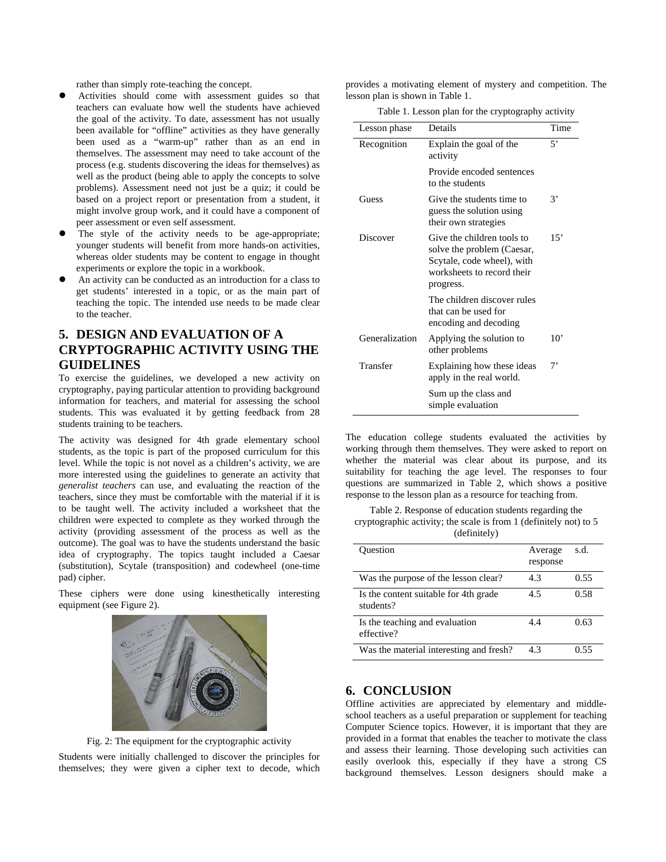rather than simply rote-teaching the concept.

- Activities should come with assessment guides so that teachers can evaluate how well the students have achieved the goal of the activity. To date, assessment has not usually been available for "offline" activities as they have generally been used as a "warm-up" rather than as an end in themselves. The assessment may need to take account of the process (e.g. students discovering the ideas for themselves) as well as the product (being able to apply the concepts to solve problems). Assessment need not just be a quiz; it could be based on a project report or presentation from a student, it might involve group work, and it could have a component of peer assessment or even self assessment.
- The style of the activity needs to be age-appropriate; younger students will benefit from more hands-on activities, whereas older students may be content to engage in thought experiments or explore the topic in a workbook.
- An activity can be conducted as an introduction for a class to get students' interested in a topic, or as the main part of teaching the topic. The intended use needs to be made clear to the teacher.

# **5. DESIGN AND EVALUATION OF A CRYPTOGRAPHIC ACTIVITY USING THE GUIDELINES**

To exercise the guidelines, we developed a new activity on cryptography, paying particular attention to providing background information for teachers, and material for assessing the school students. This was evaluated it by getting feedback from 28 students training to be teachers.

The activity was designed for 4th grade elementary school students, as the topic is part of the proposed curriculum for this level. While the topic is not novel as a children's activity, we are more interested using the guidelines to generate an activity that *generalist teachers* can use, and evaluating the reaction of the teachers, since they must be comfortable with the material if it is to be taught well. The activity included a worksheet that the children were expected to complete as they worked through the activity (providing assessment of the process as well as the outcome). The goal was to have the students understand the basic idea of cryptography. The topics taught included a Caesar (substitution), Scytale (transposition) and codewheel (one-time pad) cipher.

These ciphers were done using kinesthetically interesting equipment (see Figure 2).



Fig. 2: The equipment for the cryptographic activity

Students were initially challenged to discover the principles for themselves; they were given a cipher text to decode, which provides a motivating element of mystery and competition. The lesson plan is shown in Table 1.

Table 1. Lesson plan for the cryptography activity

| Lesson phase   | Details                                                                                                                           | Time         |
|----------------|-----------------------------------------------------------------------------------------------------------------------------------|--------------|
| Recognition    | Explain the goal of the<br>activity                                                                                               | 5'           |
|                | Provide encoded sentences<br>to the students                                                                                      |              |
| Guess          | Give the students time to<br>guess the solution using<br>their own strategies                                                     | 3'           |
| Discover       | Give the children tools to<br>solve the problem (Caesar,<br>Scytale, code wheel), with<br>worksheets to record their<br>progress. | 15'          |
|                | The children discover rules<br>that can be used for<br>encoding and decoding                                                      |              |
| Generalization | Applying the solution to<br>other problems                                                                                        | $10^{\circ}$ |
| Transfer       | Explaining how these ideas<br>apply in the real world.                                                                            | 7'           |
|                | Sum up the class and<br>simple evaluation                                                                                         |              |

The education college students evaluated the activities by working through them themselves. They were asked to report on whether the material was clear about its purpose, and its suitability for teaching the age level. The responses to four questions are summarized in Table 2, which shows a positive response to the lesson plan as a resource for teaching from.

Table 2. Response of education students regarding the cryptographic activity; the scale is from 1 (definitely not) to 5 (definitely)

| Ouestion                                           | Average<br>response | s.d. |
|----------------------------------------------------|---------------------|------|
| Was the purpose of the lesson clear?               | 4.3                 | 0.55 |
| Is the content suitable for 4th grade<br>students? | 4.5                 | 0.58 |
| Is the teaching and evaluation<br>effective?       | 4.4                 | 0.63 |
| Was the material interesting and fresh?            | 4.3                 |      |

### **6. CONCLUSION**

Offline activities are appreciated by elementary and middleschool teachers as a useful preparation or supplement for teaching Computer Science topics. However, it is important that they are provided in a format that enables the teacher to motivate the class and assess their learning. Those developing such activities can easily overlook this, especially if they have a strong CS background themselves. Lesson designers should make a